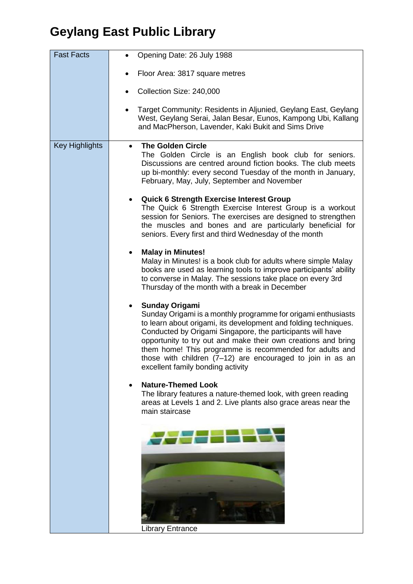| <b>Fast Facts</b>     | Opening Date: 26 July 1988<br>$\bullet$                                                                                                                                                                                                                                                                                                                                                                                                                |
|-----------------------|--------------------------------------------------------------------------------------------------------------------------------------------------------------------------------------------------------------------------------------------------------------------------------------------------------------------------------------------------------------------------------------------------------------------------------------------------------|
|                       | Floor Area: 3817 square metres                                                                                                                                                                                                                                                                                                                                                                                                                         |
|                       | Collection Size: 240,000<br>$\bullet$                                                                                                                                                                                                                                                                                                                                                                                                                  |
|                       | Target Community: Residents in Aljunied, Geylang East, Geylang<br>West, Geylang Serai, Jalan Besar, Eunos, Kampong Ubi, Kallang<br>and MacPherson, Lavender, Kaki Bukit and Sims Drive                                                                                                                                                                                                                                                                 |
| <b>Key Highlights</b> | <b>The Golden Circle</b><br>$\bullet$<br>The Golden Circle is an English book club for seniors.<br>Discussions are centred around fiction books. The club meets<br>up bi-monthly: every second Tuesday of the month in January,<br>February, May, July, September and November                                                                                                                                                                         |
|                       | <b>Quick 6 Strength Exercise Interest Group</b><br>The Quick 6 Strength Exercise Interest Group is a workout<br>session for Seniors. The exercises are designed to strengthen<br>the muscles and bones and are particularly beneficial for<br>seniors. Every first and third Wednesday of the month                                                                                                                                                    |
|                       | <b>Malay in Minutes!</b><br>Malay in Minutes! is a book club for adults where simple Malay<br>books are used as learning tools to improve participants' ability<br>to converse in Malay. The sessions take place on every 3rd<br>Thursday of the month with a break in December                                                                                                                                                                        |
|                       | <b>Sunday Origami</b><br>Sunday Origami is a monthly programme for origami enthusiasts<br>to learn about origami, its development and folding techniques.<br>Conducted by Origami Singapore, the participants will have<br>opportunity to try out and make their own creations and bring<br>them home! This programme is recommended for adults and<br>those with children (7-12) are encouraged to join in as an<br>excellent family bonding activity |
|                       | <b>Nature-Themed Look</b><br>The library features a nature-themed look, with green reading<br>areas at Levels 1 and 2. Live plants also grace areas near the<br>main staircase                                                                                                                                                                                                                                                                         |
|                       |                                                                                                                                                                                                                                                                                                                                                                                                                                                        |
|                       |                                                                                                                                                                                                                                                                                                                                                                                                                                                        |
|                       | <b>Library Entrance</b>                                                                                                                                                                                                                                                                                                                                                                                                                                |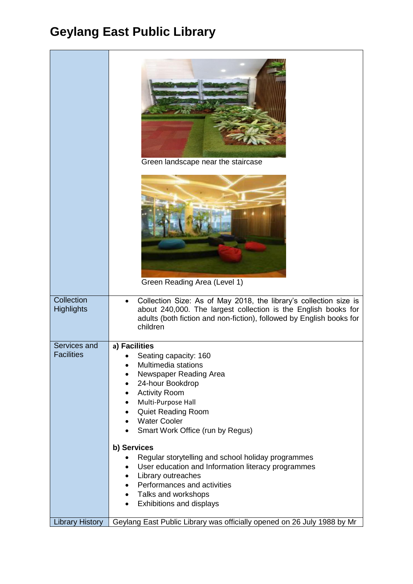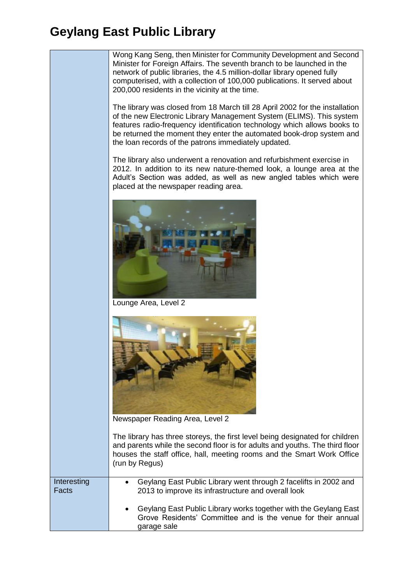

|                      | Trouses the start office, right, integrity fooths and the Striatt Work Office<br>(run by Regus)                                                              |
|----------------------|--------------------------------------------------------------------------------------------------------------------------------------------------------------|
| Interesting<br>Facts | Geylang East Public Library went through 2 facelifts in 2002 and<br>$\bullet$<br>2013 to improve its infrastructure and overall look                         |
|                      | Geylang East Public Library works together with the Geylang East<br>$\bullet$<br>Grove Residents' Committee and is the venue for their annual<br>garage sale |